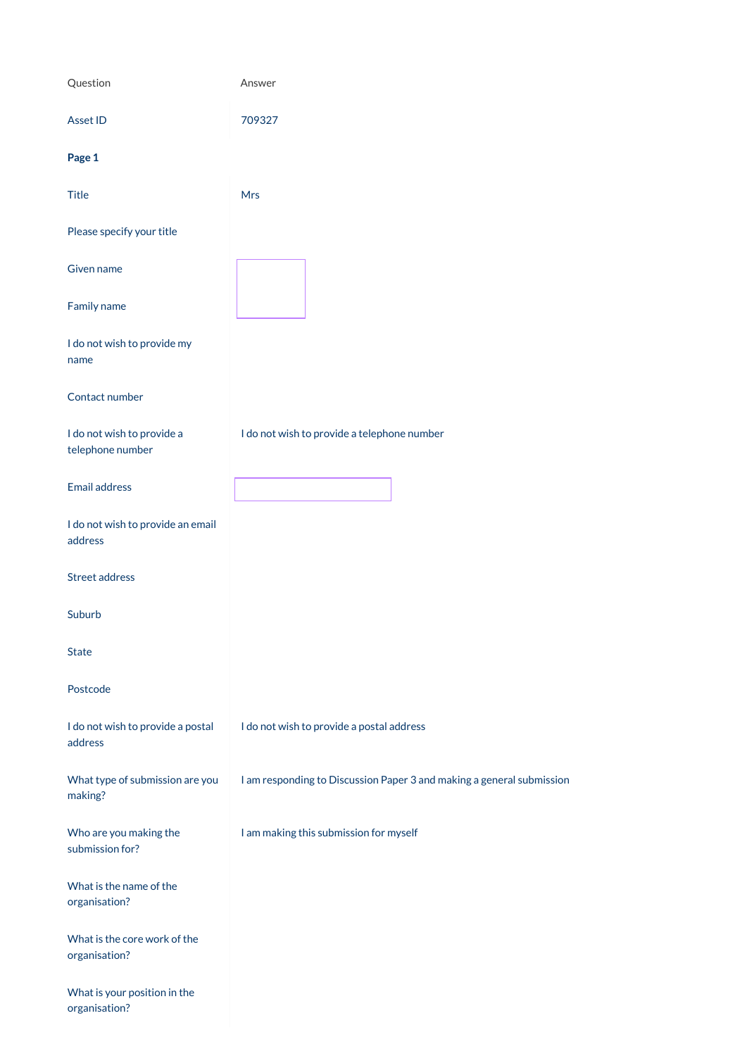| Question                                       | Answer                                                                |
|------------------------------------------------|-----------------------------------------------------------------------|
| <b>Asset ID</b>                                | 709327                                                                |
| Page 1                                         |                                                                       |
| <b>Title</b>                                   | <b>Mrs</b>                                                            |
| Please specify your title                      |                                                                       |
| <b>Given name</b>                              |                                                                       |
| Family name                                    |                                                                       |
| I do not wish to provide my<br>name            |                                                                       |
| Contact number                                 |                                                                       |
| I do not wish to provide a<br>telephone number | I do not wish to provide a telephone number                           |
| <b>Email address</b>                           |                                                                       |
| I do not wish to provide an email<br>address   |                                                                       |
| <b>Street address</b>                          |                                                                       |
| Suburb                                         |                                                                       |
| <b>State</b>                                   |                                                                       |
| Postcode                                       |                                                                       |
| I do not wish to provide a postal<br>address   | I do not wish to provide a postal address                             |
| What type of submission are you                | I am responding to Discussion Paper 3 and making a general submission |

making?

Who are you making the submission for?

I am making this submission for myself

What is the name of the organisation?

What is the core work of the organisation?

What is your position in the organisation?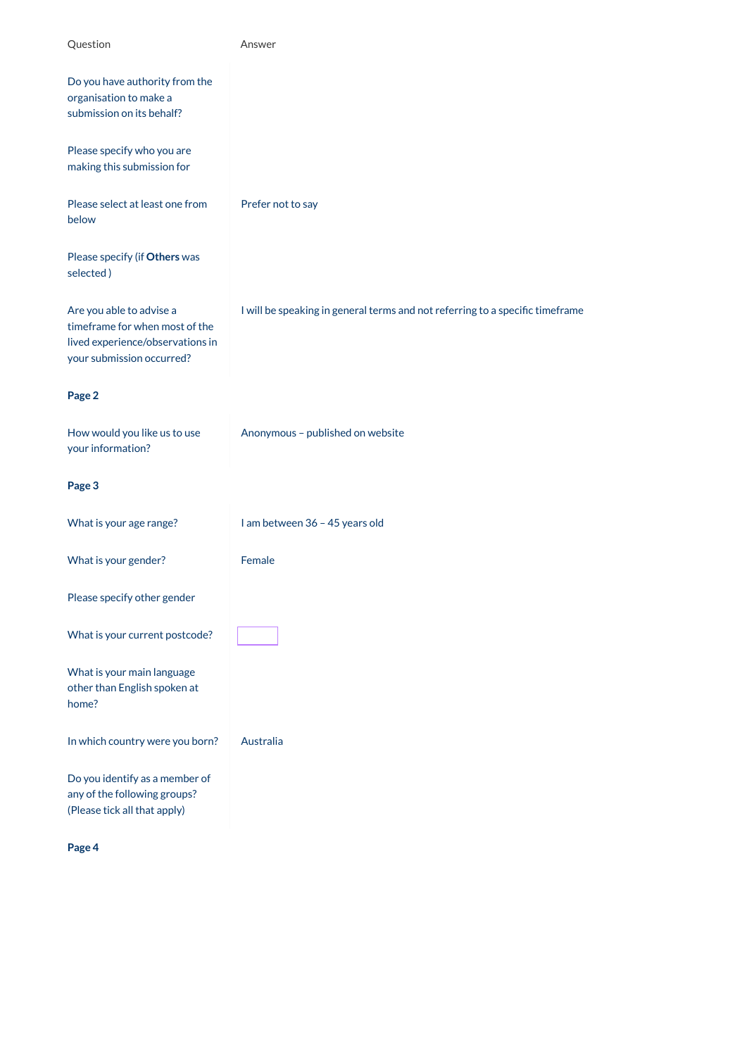| Question                                                                                                                    | Answer                                                                        |  |
|-----------------------------------------------------------------------------------------------------------------------------|-------------------------------------------------------------------------------|--|
| Do you have authority from the<br>organisation to make a<br>submission on its behalf?                                       |                                                                               |  |
| Please specify who you are<br>making this submission for                                                                    |                                                                               |  |
| Please select at least one from<br>below                                                                                    | Prefer not to say                                                             |  |
| Please specify (if Others was<br>selected)                                                                                  |                                                                               |  |
| Are you able to advise a<br>timeframe for when most of the<br>lived experience/observations in<br>your submission occurred? | I will be speaking in general terms and not referring to a specific timeframe |  |
| Page 2                                                                                                                      |                                                                               |  |
| How would you like us to use<br>your information?                                                                           | Anonymous - published on website                                              |  |
| Page 3                                                                                                                      |                                                                               |  |
| What is your age range?                                                                                                     | I am between 36 - 45 years old                                                |  |
| What is your gender?                                                                                                        | Female                                                                        |  |
| Please specify other gender                                                                                                 |                                                                               |  |
| What is your current postcode?                                                                                              |                                                                               |  |
| What is your main language<br>other than English spoken at<br>home?                                                         |                                                                               |  |
| In which country were you born?                                                                                             | Australia                                                                     |  |
| Do you identify as a member of<br>any of the following groups?                                                              |                                                                               |  |

any of the following groups? (Please tick all that apply)

**Page 4**